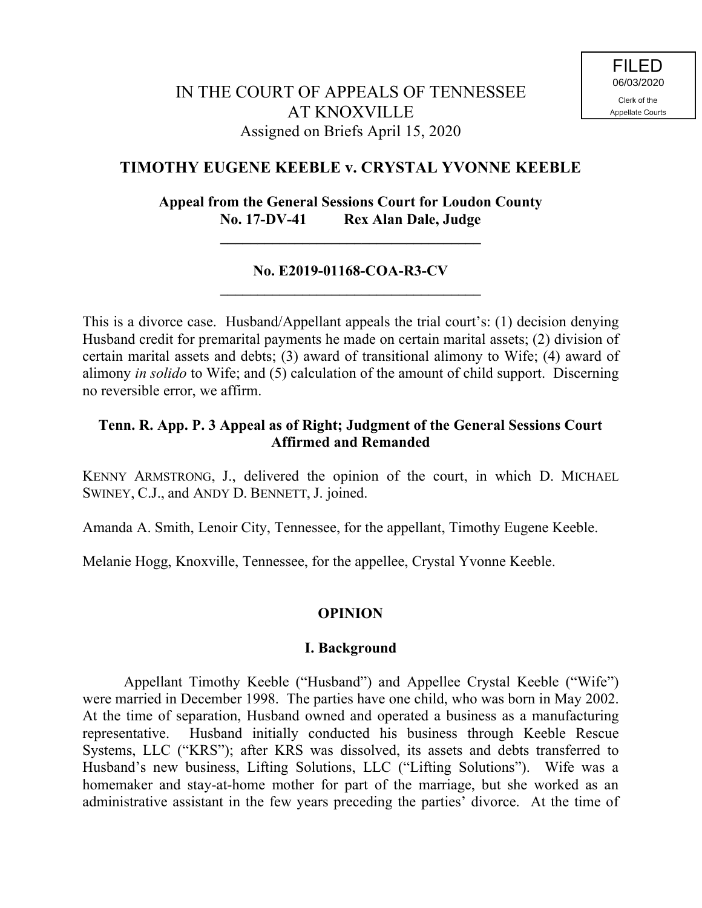# **TIMOTHY EUGENE KEEBLE v. CRYSTAL YVONNE KEEBLE**

# **Appeal from the General Sessions Court for Loudon County No. 17-DV-41 Rex Alan Dale, Judge**

**\_\_\_\_\_\_\_\_\_\_\_\_\_\_\_\_\_\_\_\_\_\_\_\_\_\_\_\_\_\_\_\_\_\_\_**

# **No. E2019-01168-COA-R3-CV \_\_\_\_\_\_\_\_\_\_\_\_\_\_\_\_\_\_\_\_\_\_\_\_\_\_\_\_\_\_\_\_\_\_\_**

This is a divorce case. Husband/Appellant appeals the trial court's: (1) decision denying Husband credit for premarital payments he made on certain marital assets; (2) division of certain marital assets and debts; (3) award of transitional alimony to Wife; (4) award of alimony *in solido* to Wife; and (5) calculation of the amount of child support. Discerning no reversible error, we affirm.

# **Tenn. R. App. P. 3 Appeal as of Right; Judgment of the General Sessions Court Affirmed and Remanded**

KENNY ARMSTRONG, J., delivered the opinion of the court, in which D. MICHAEL SWINEY, C.J., and ANDY D. BENNETT, J. joined.

Amanda A. Smith, Lenoir City, Tennessee, for the appellant, Timothy Eugene Keeble.

Melanie Hogg, Knoxville, Tennessee, for the appellee, Crystal Yvonne Keeble.

## **OPINION**

## **I. Background**

Appellant Timothy Keeble ("Husband") and Appellee Crystal Keeble ("Wife") were married in December 1998. The parties have one child, who was born in May 2002. At the time of separation, Husband owned and operated a business as a manufacturing representative. Husband initially conducted his business through Keeble Rescue Systems, LLC ("KRS"); after KRS was dissolved, its assets and debts transferred to Husband's new business, Lifting Solutions, LLC ("Lifting Solutions"). Wife was a homemaker and stay-at-home mother for part of the marriage, but she worked as an administrative assistant in the few years preceding the parties' divorce. At the time of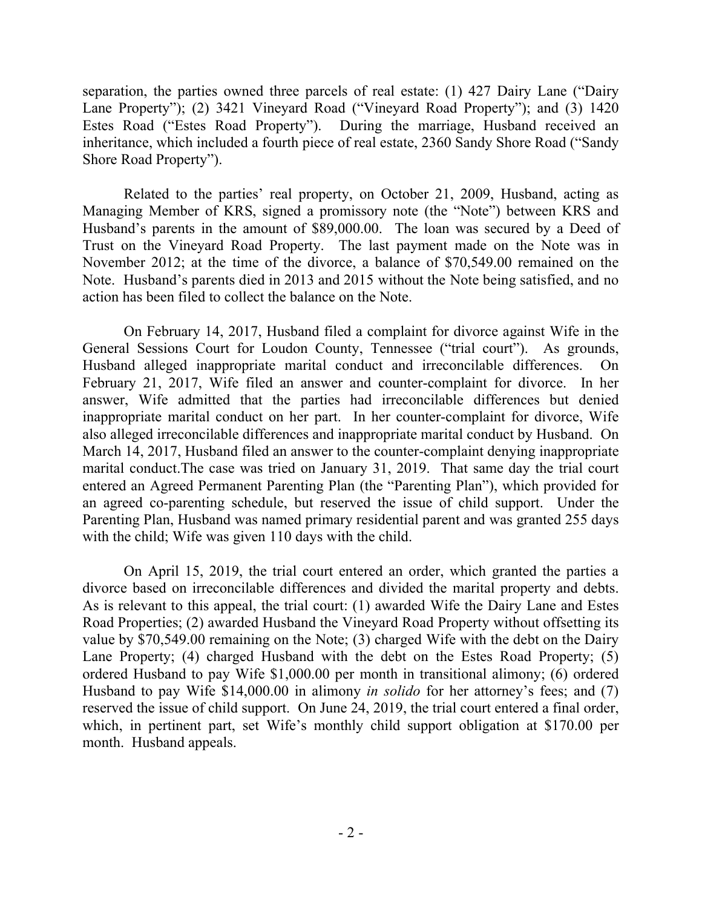separation, the parties owned three parcels of real estate: (1) 427 Dairy Lane ("Dairy Lane Property"); (2) 3421 Vineyard Road ("Vineyard Road Property"); and (3) 1420 Estes Road ("Estes Road Property"). During the marriage, Husband received an inheritance, which included a fourth piece of real estate, 2360 Sandy Shore Road ("Sandy Shore Road Property").

Related to the parties' real property, on October 21, 2009, Husband, acting as Managing Member of KRS, signed a promissory note (the "Note") between KRS and Husband's parents in the amount of \$89,000.00. The loan was secured by a Deed of Trust on the Vineyard Road Property. The last payment made on the Note was in November 2012; at the time of the divorce, a balance of \$70,549.00 remained on the Note. Husband's parents died in 2013 and 2015 without the Note being satisfied, and no action has been filed to collect the balance on the Note.

On February 14, 2017, Husband filed a complaint for divorce against Wife in the General Sessions Court for Loudon County, Tennessee ("trial court"). As grounds, Husband alleged inappropriate marital conduct and irreconcilable differences. On February 21, 2017, Wife filed an answer and counter-complaint for divorce. In her answer, Wife admitted that the parties had irreconcilable differences but denied inappropriate marital conduct on her part. In her counter-complaint for divorce, Wife also alleged irreconcilable differences and inappropriate marital conduct by Husband. On March 14, 2017, Husband filed an answer to the counter-complaint denying inappropriate marital conduct.The case was tried on January 31, 2019. That same day the trial court entered an Agreed Permanent Parenting Plan (the "Parenting Plan"), which provided for an agreed co-parenting schedule, but reserved the issue of child support. Under the Parenting Plan, Husband was named primary residential parent and was granted 255 days with the child; Wife was given 110 days with the child.

On April 15, 2019, the trial court entered an order, which granted the parties a divorce based on irreconcilable differences and divided the marital property and debts. As is relevant to this appeal, the trial court: (1) awarded Wife the Dairy Lane and Estes Road Properties; (2) awarded Husband the Vineyard Road Property without offsetting its value by \$70,549.00 remaining on the Note; (3) charged Wife with the debt on the Dairy Lane Property; (4) charged Husband with the debt on the Estes Road Property; (5) ordered Husband to pay Wife \$1,000.00 per month in transitional alimony; (6) ordered Husband to pay Wife \$14,000.00 in alimony *in solido* for her attorney's fees; and (7) reserved the issue of child support. On June 24, 2019, the trial court entered a final order, which, in pertinent part, set Wife's monthly child support obligation at \$170.00 per month. Husband appeals.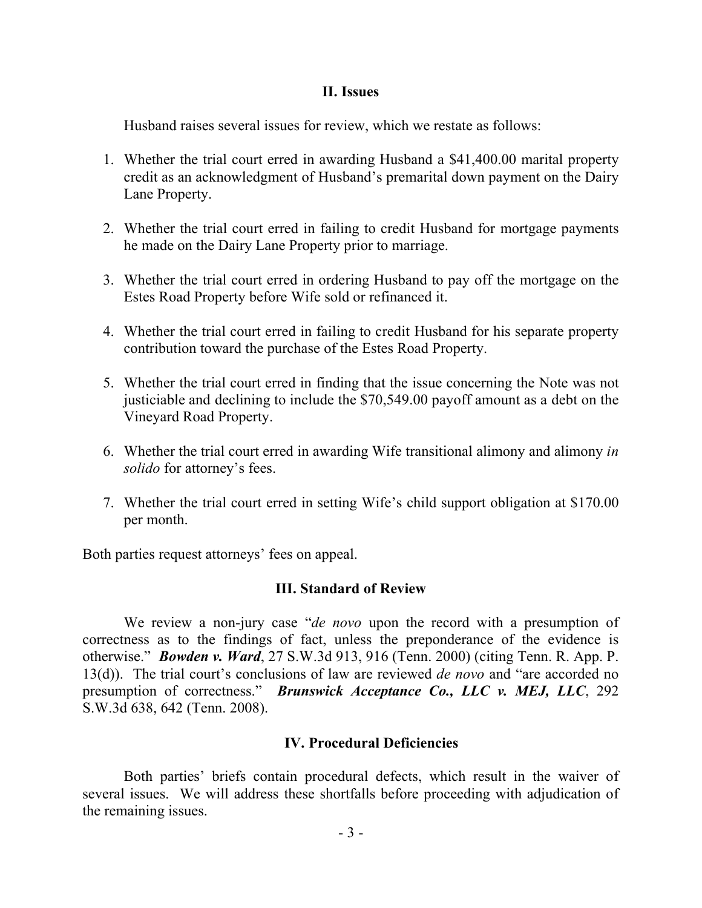#### **II. Issues**

Husband raises several issues for review, which we restate as follows:

- 1. Whether the trial court erred in awarding Husband a \$41,400.00 marital property credit as an acknowledgment of Husband's premarital down payment on the Dairy Lane Property.
- 2. Whether the trial court erred in failing to credit Husband for mortgage payments he made on the Dairy Lane Property prior to marriage.
- 3. Whether the trial court erred in ordering Husband to pay off the mortgage on the Estes Road Property before Wife sold or refinanced it.
- 4. Whether the trial court erred in failing to credit Husband for his separate property contribution toward the purchase of the Estes Road Property.
- 5. Whether the trial court erred in finding that the issue concerning the Note was not justiciable and declining to include the \$70,549.00 payoff amount as a debt on the Vineyard Road Property.
- 6. Whether the trial court erred in awarding Wife transitional alimony and alimony *in solido* for attorney's fees.
- 7. Whether the trial court erred in setting Wife's child support obligation at \$170.00 per month.

Both parties request attorneys' fees on appeal.

## **III. Standard of Review**

We review a non-jury case "*de novo* upon the record with a presumption of correctness as to the findings of fact, unless the preponderance of the evidence is otherwise." *Bowden v. Ward*, 27 S.W.3d 913, 916 (Tenn. 2000) (citing Tenn. R. App. P. 13(d)). The trial court's conclusions of law are reviewed *de novo* and "are accorded no presumption of correctness." *Brunswick Acceptance Co., LLC v. MEJ, LLC*, 292 S.W.3d 638, 642 (Tenn. 2008).

## **IV. Procedural Deficiencies**

Both parties' briefs contain procedural defects, which result in the waiver of several issues. We will address these shortfalls before proceeding with adjudication of the remaining issues.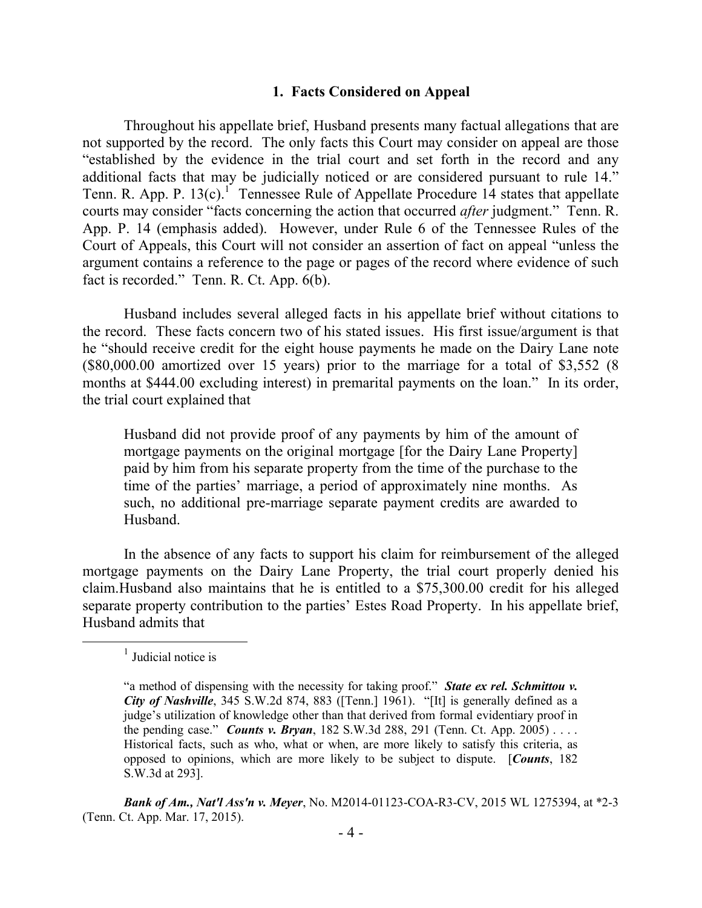#### **1. Facts Considered on Appeal**

Throughout his appellate brief, Husband presents many factual allegations that are not supported by the record. The only facts this Court may consider on appeal are those "established by the evidence in the trial court and set forth in the record and any additional facts that may be judicially noticed or are considered pursuant to rule 14." Tenn. R. App. P.  $13(c)$ .<sup>1</sup> Tennessee Rule of Appellate Procedure 14 states that appellate courts may consider "facts concerning the action that occurred *after* judgment." Tenn. R. App. P. 14 (emphasis added). However, under Rule 6 of the Tennessee Rules of the Court of Appeals, this Court will not consider an assertion of fact on appeal "unless the argument contains a reference to the page or pages of the record where evidence of such fact is recorded." Tenn. R. Ct. App. 6(b).

Husband includes several alleged facts in his appellate brief without citations to the record. These facts concern two of his stated issues. His first issue/argument is that he "should receive credit for the eight house payments he made on the Dairy Lane note (\$80,000.00 amortized over 15 years) prior to the marriage for a total of \$3,552 (8 months at \$444.00 excluding interest) in premarital payments on the loan." In its order, the trial court explained that

Husband did not provide proof of any payments by him of the amount of mortgage payments on the original mortgage [for the Dairy Lane Property] paid by him from his separate property from the time of the purchase to the time of the parties' marriage, a period of approximately nine months. As such, no additional pre-marriage separate payment credits are awarded to Husband.

In the absence of any facts to support his claim for reimbursement of the alleged mortgage payments on the Dairy Lane Property, the trial court properly denied his claim.Husband also maintains that he is entitled to a \$75,300.00 credit for his alleged separate property contribution to the parties' Estes Road Property. In his appellate brief, Husband admits that

 $\overline{a}$ 

<sup>&</sup>lt;sup>1</sup> Judicial notice is

<sup>&</sup>quot;a method of dispensing with the necessity for taking proof." *State ex rel. Schmittou v. City of Nashville*, 345 S.W.2d 874, 883 ([Tenn.] 1961). "[It] is generally defined as a judge's utilization of knowledge other than that derived from formal evidentiary proof in the pending case." *Counts v. Bryan*, 182 S.W.3d 288, 291 (Tenn. Ct. App. 2005) . . . . Historical facts, such as who, what or when, are more likely to satisfy this criteria, as opposed to opinions, which are more likely to be subject to dispute. [*Counts*, 182 S.W.3d at 293].

*Bank of Am., Nat'l Ass'n v. Meyer*, No. M2014-01123-COA-R3-CV, 2015 WL 1275394, at \*2-3 (Tenn. Ct. App. Mar. 17, 2015).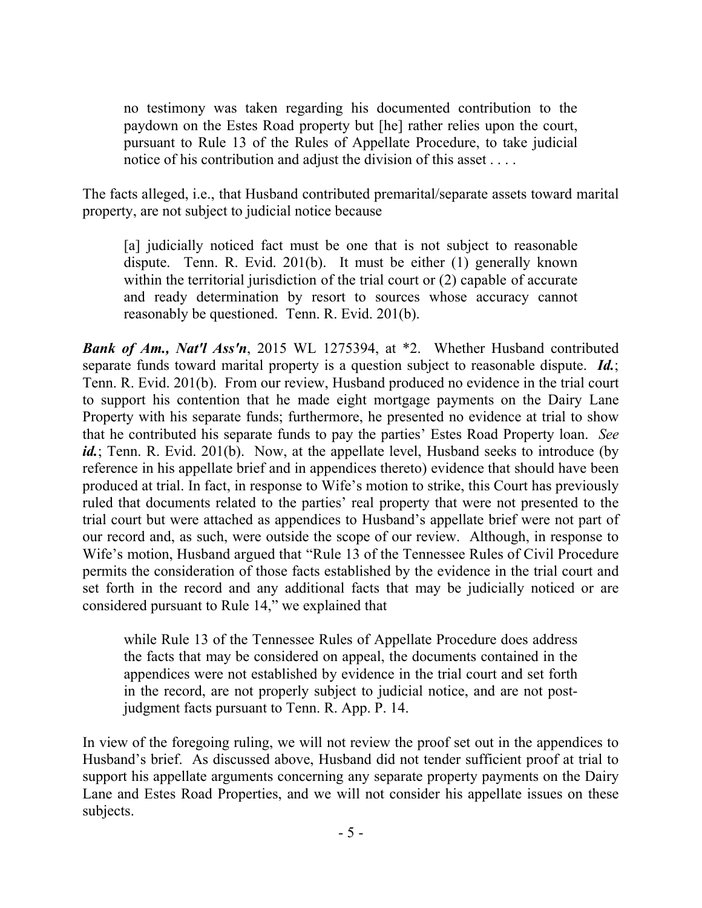no testimony was taken regarding his documented contribution to the paydown on the Estes Road property but [he] rather relies upon the court, pursuant to Rule 13 of the Rules of Appellate Procedure, to take judicial notice of his contribution and adjust the division of this asset . . . .

The facts alleged, i.e., that Husband contributed premarital/separate assets toward marital property, are not subject to judicial notice because

[a] judicially noticed fact must be one that is not subject to reasonable dispute. Tenn. R. Evid. 201(b). It must be either (1) generally known within the territorial jurisdiction of the trial court or (2) capable of accurate and ready determination by resort to sources whose accuracy cannot reasonably be questioned. Tenn. R. Evid. 201(b).

*Bank of Am., Nat'l Ass'n*, 2015 WL 1275394, at \*2. Whether Husband contributed separate funds toward marital property is a question subject to reasonable dispute. *Id.*; Tenn. R. Evid. 201(b). From our review, Husband produced no evidence in the trial court to support his contention that he made eight mortgage payments on the Dairy Lane Property with his separate funds; furthermore, he presented no evidence at trial to show that he contributed his separate funds to pay the parties' Estes Road Property loan. *See id.*; Tenn. R. Evid. 201(b). Now, at the appellate level, Husband seeks to introduce (by reference in his appellate brief and in appendices thereto) evidence that should have been produced at trial. In fact, in response to Wife's motion to strike, this Court has previously ruled that documents related to the parties' real property that were not presented to the trial court but were attached as appendices to Husband's appellate brief were not part of our record and, as such, were outside the scope of our review. Although, in response to Wife's motion, Husband argued that "Rule 13 of the Tennessee Rules of Civil Procedure permits the consideration of those facts established by the evidence in the trial court and set forth in the record and any additional facts that may be judicially noticed or are considered pursuant to Rule 14," we explained that

while Rule 13 of the Tennessee Rules of Appellate Procedure does address the facts that may be considered on appeal, the documents contained in the appendices were not established by evidence in the trial court and set forth in the record, are not properly subject to judicial notice, and are not postjudgment facts pursuant to Tenn. R. App. P. 14.

In view of the foregoing ruling, we will not review the proof set out in the appendices to Husband's brief. As discussed above, Husband did not tender sufficient proof at trial to support his appellate arguments concerning any separate property payments on the Dairy Lane and Estes Road Properties, and we will not consider his appellate issues on these subjects.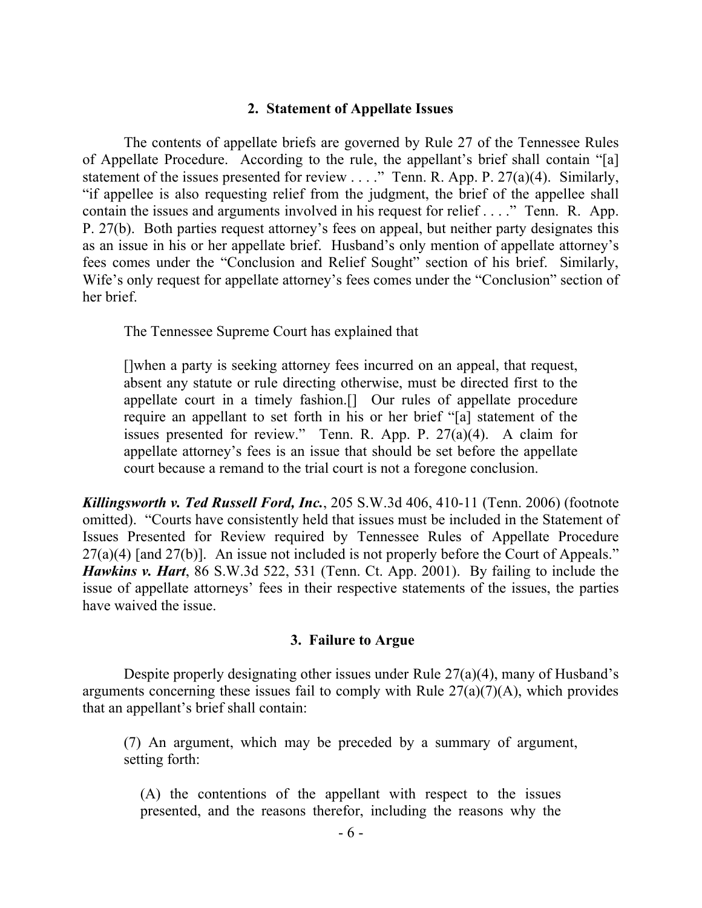#### **2. Statement of Appellate Issues**

The contents of appellate briefs are governed by Rule 27 of the Tennessee Rules of Appellate Procedure. According to the rule, the appellant's brief shall contain "[a] statement of the issues presented for review  $\dots$ ." Tenn. R. App. P. 27(a)(4). Similarly, "if appellee is also requesting relief from the judgment, the brief of the appellee shall contain the issues and arguments involved in his request for relief . . . ." Tenn. R. App. P. 27(b). Both parties request attorney's fees on appeal, but neither party designates this as an issue in his or her appellate brief. Husband's only mention of appellate attorney's fees comes under the "Conclusion and Relief Sought" section of his brief. Similarly, Wife's only request for appellate attorney's fees comes under the "Conclusion" section of her brief.

The Tennessee Supreme Court has explained that

[]when a party is seeking attorney fees incurred on an appeal, that request, absent any statute or rule directing otherwise, must be directed first to the appellate court in a timely fashion.[] Our rules of appellate procedure require an appellant to set forth in his or her brief "[a] statement of the issues presented for review." Tenn. R. App. P. 27(a)(4). A claim for appellate attorney's fees is an issue that should be set before the appellate court because a remand to the trial court is not a foregone conclusion.

*Killingsworth v. Ted Russell Ford, Inc.*, 205 S.W.3d 406, 410-11 (Tenn. 2006) (footnote omitted). "Courts have consistently held that issues must be included in the Statement of Issues Presented for Review required by Tennessee Rules of Appellate Procedure  $27(a)(4)$  [and  $27(b)$ ]. An issue not included is not properly before the Court of Appeals." *Hawkins v. Hart*, 86 S.W.3d 522, 531 (Tenn. Ct. App. 2001). By failing to include the issue of appellate attorneys' fees in their respective statements of the issues, the parties have waived the issue.

#### **3. Failure to Argue**

Despite properly designating other issues under Rule 27(a)(4), many of Husband's arguments concerning these issues fail to comply with Rule  $27(a)(7)(A)$ , which provides that an appellant's brief shall contain:

(7) An argument, which may be preceded by a summary of argument, setting forth:

(A) the contentions of the appellant with respect to the issues presented, and the reasons therefor, including the reasons why the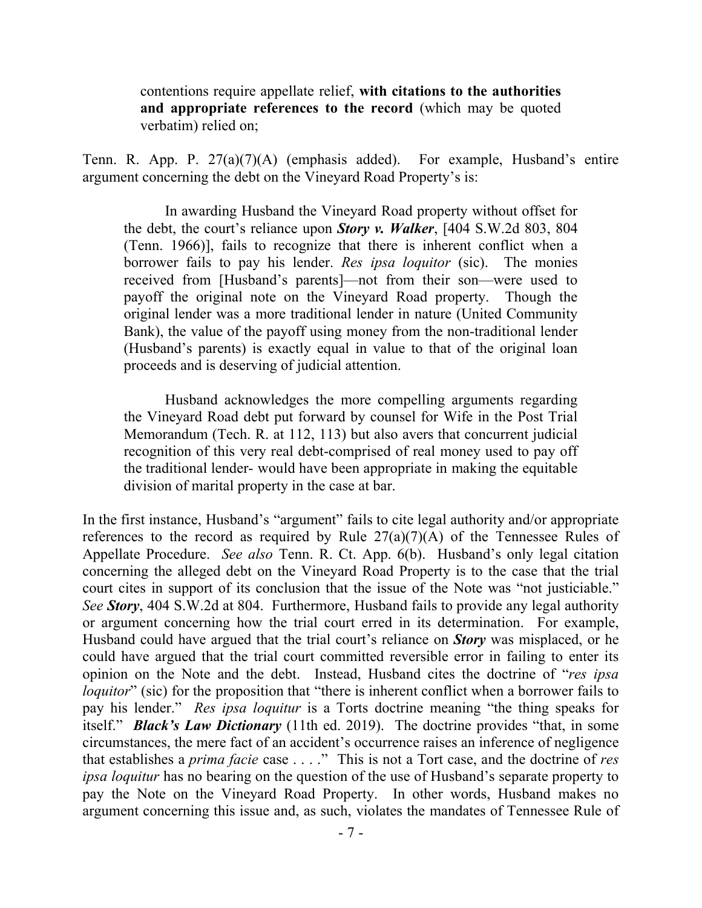contentions require appellate relief, **with citations to the authorities and appropriate references to the record** (which may be quoted verbatim) relied on;

Tenn. R. App. P. 27(a)(7)(A) (emphasis added). For example, Husband's entire argument concerning the debt on the Vineyard Road Property's is:

In awarding Husband the Vineyard Road property without offset for the debt, the court's reliance upon *Story v. Walker*, [404 S.W.2d 803, 804 (Tenn. 1966)], fails to recognize that there is inherent conflict when a borrower fails to pay his lender. *Res ipsa loquitor* (sic). The monies received from [Husband's parents]—not from their son—were used to payoff the original note on the Vineyard Road property. Though the original lender was a more traditional lender in nature (United Community Bank), the value of the payoff using money from the non-traditional lender (Husband's parents) is exactly equal in value to that of the original loan proceeds and is deserving of judicial attention.

Husband acknowledges the more compelling arguments regarding the Vineyard Road debt put forward by counsel for Wife in the Post Trial Memorandum (Tech. R. at 112, 113) but also avers that concurrent judicial recognition of this very real debt-comprised of real money used to pay off the traditional lender- would have been appropriate in making the equitable division of marital property in the case at bar.

In the first instance, Husband's "argument" fails to cite legal authority and/or appropriate references to the record as required by Rule  $27(a)(7)(A)$  of the Tennessee Rules of Appellate Procedure. *See also* Tenn. R. Ct. App. 6(b). Husband's only legal citation concerning the alleged debt on the Vineyard Road Property is to the case that the trial court cites in support of its conclusion that the issue of the Note was "not justiciable." *See Story*, 404 S.W.2d at 804. Furthermore, Husband fails to provide any legal authority or argument concerning how the trial court erred in its determination. For example, Husband could have argued that the trial court's reliance on *Story* was misplaced, or he could have argued that the trial court committed reversible error in failing to enter its opinion on the Note and the debt. Instead, Husband cites the doctrine of "*res ipsa loquitor*" (sic) for the proposition that "there is inherent conflict when a borrower fails to pay his lender." *Res ipsa loquitur* is a Torts doctrine meaning "the thing speaks for itself." *Black's Law Dictionary* (11th ed. 2019). The doctrine provides "that, in some circumstances, the mere fact of an accident's occurrence raises an inference of negligence that establishes a *prima facie* case . . . ." This is not a Tort case, and the doctrine of *res ipsa loquitur* has no bearing on the question of the use of Husband's separate property to pay the Note on the Vineyard Road Property. In other words, Husband makes no argument concerning this issue and, as such, violates the mandates of Tennessee Rule of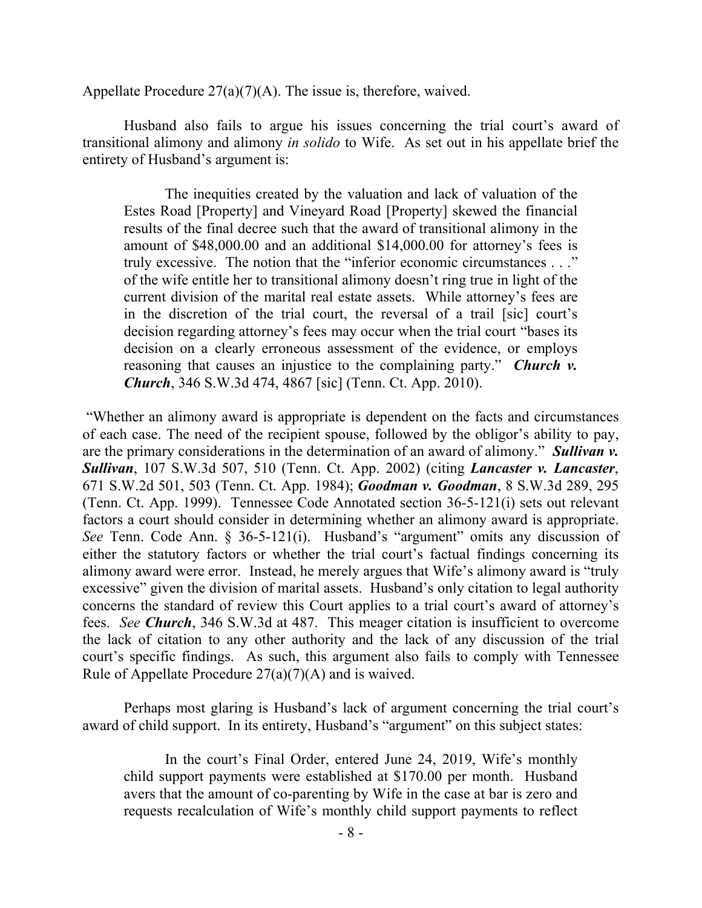Appellate Procedure  $27(a)(7)(A)$ . The issue is, therefore, waived.

Husband also fails to argue his issues concerning the trial court's award of transitional alimony and alimony *in solido* to Wife. As set out in his appellate brief the entirety of Husband's argument is:

The inequities created by the valuation and lack of valuation of the Estes Road [Property] and Vineyard Road [Property] skewed the financial results of the final decree such that the award of transitional alimony in the amount of \$48,000.00 and an additional \$14,000.00 for attorney's fees is truly excessive. The notion that the "inferior economic circumstances . . ." of the wife entitle her to transitional alimony doesn't ring true in light of the current division of the marital real estate assets. While attorney's fees are in the discretion of the trial court, the reversal of a trail [sic] court's decision regarding attorney's fees may occur when the trial court "bases its decision on a clearly erroneous assessment of the evidence, or employs reasoning that causes an injustice to the complaining party." *Church v. Church*, 346 S.W.3d 474, 4867 [sic] (Tenn. Ct. App. 2010).

"Whether an alimony award is appropriate is dependent on the facts and circumstances of each case. The need of the recipient spouse, followed by the obligor's ability to pay, are the primary considerations in the determination of an award of alimony." *Sullivan v. Sullivan*, 107 S.W.3d 507, 510 (Tenn. Ct. App. 2002) (citing *Lancaster v. Lancaster*, 671 S.W.2d 501, 503 (Tenn. Ct. App. 1984); *Goodman v. Goodman*, 8 S.W.3d 289, 295 (Tenn. Ct. App. 1999). Tennessee Code Annotated section 36-5-121(i) sets out relevant factors a court should consider in determining whether an alimony award is appropriate. *See* Tenn. Code Ann. § 36-5-121(i). Husband's "argument" omits any discussion of either the statutory factors or whether the trial court's factual findings concerning its alimony award were error. Instead, he merely argues that Wife's alimony award is "truly excessive" given the division of marital assets. Husband's only citation to legal authority concerns the standard of review this Court applies to a trial court's award of attorney's fees. *See Church*, 346 S.W.3d at 487. This meager citation is insufficient to overcome the lack of citation to any other authority and the lack of any discussion of the trial court's specific findings. As such, this argument also fails to comply with Tennessee Rule of Appellate Procedure 27(a)(7)(A) and is waived.

Perhaps most glaring is Husband's lack of argument concerning the trial court's award of child support. In its entirety, Husband's "argument" on this subject states:

In the court's Final Order, entered June 24, 2019, Wife's monthly child support payments were established at \$170.00 per month. Husband avers that the amount of co-parenting by Wife in the case at bar is zero and requests recalculation of Wife's monthly child support payments to reflect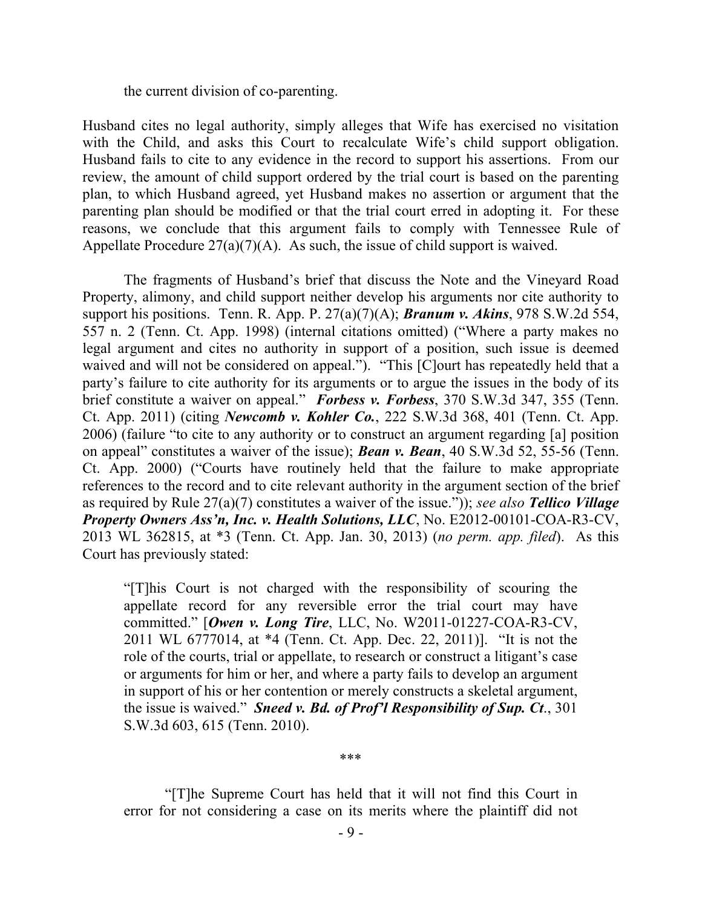the current division of co-parenting.

Husband cites no legal authority, simply alleges that Wife has exercised no visitation with the Child, and asks this Court to recalculate Wife's child support obligation. Husband fails to cite to any evidence in the record to support his assertions. From our review, the amount of child support ordered by the trial court is based on the parenting plan, to which Husband agreed, yet Husband makes no assertion or argument that the parenting plan should be modified or that the trial court erred in adopting it. For these reasons, we conclude that this argument fails to comply with Tennessee Rule of Appellate Procedure  $27(a)(7)(A)$ . As such, the issue of child support is waived.

The fragments of Husband's brief that discuss the Note and the Vineyard Road Property, alimony, and child support neither develop his arguments nor cite authority to support his positions. Tenn. R. App. P. 27(a)(7)(A); *Branum v. Akins*, 978 S.W.2d 554, 557 n. 2 (Tenn. Ct. App. 1998) (internal citations omitted) ("Where a party makes no legal argument and cites no authority in support of a position, such issue is deemed waived and will not be considered on appeal."). "This [C]ourt has repeatedly held that a party's failure to cite authority for its arguments or to argue the issues in the body of its brief constitute a waiver on appeal." *Forbess v. Forbess*, 370 S.W.3d 347, 355 (Tenn. Ct. App. 2011) (citing *Newcomb v. Kohler Co.*, 222 S.W.3d 368, 401 (Tenn. Ct. App. 2006) (failure "to cite to any authority or to construct an argument regarding [a] position on appeal" constitutes a waiver of the issue); *Bean v. Bean*, 40 S.W.3d 52, 55-56 (Tenn. Ct. App. 2000) ("Courts have routinely held that the failure to make appropriate references to the record and to cite relevant authority in the argument section of the brief as required by Rule 27(a)(7) constitutes a waiver of the issue.")); *see also Tellico Village Property Owners Ass'n, Inc. v. Health Solutions, LLC*, No. E2012-00101-COA-R3-CV, 2013 WL 362815, at \*3 (Tenn. Ct. App. Jan. 30, 2013) (*no perm. app. filed*). As this Court has previously stated:

"[T]his Court is not charged with the responsibility of scouring the appellate record for any reversible error the trial court may have committed." [*Owen v. Long Tire*, LLC, No. W2011-01227-COA-R3-CV, 2011 WL 6777014, at \*4 (Tenn. Ct. App. Dec. 22, 2011)]. "It is not the role of the courts, trial or appellate, to research or construct a litigant's case or arguments for him or her, and where a party fails to develop an argument in support of his or her contention or merely constructs a skeletal argument, the issue is waived." *Sneed v. Bd. of Prof'l Responsibility of Sup. Ct*., 301 S.W.3d 603, 615 (Tenn. 2010).

\*\*\*

"[T]he Supreme Court has held that it will not find this Court in error for not considering a case on its merits where the plaintiff did not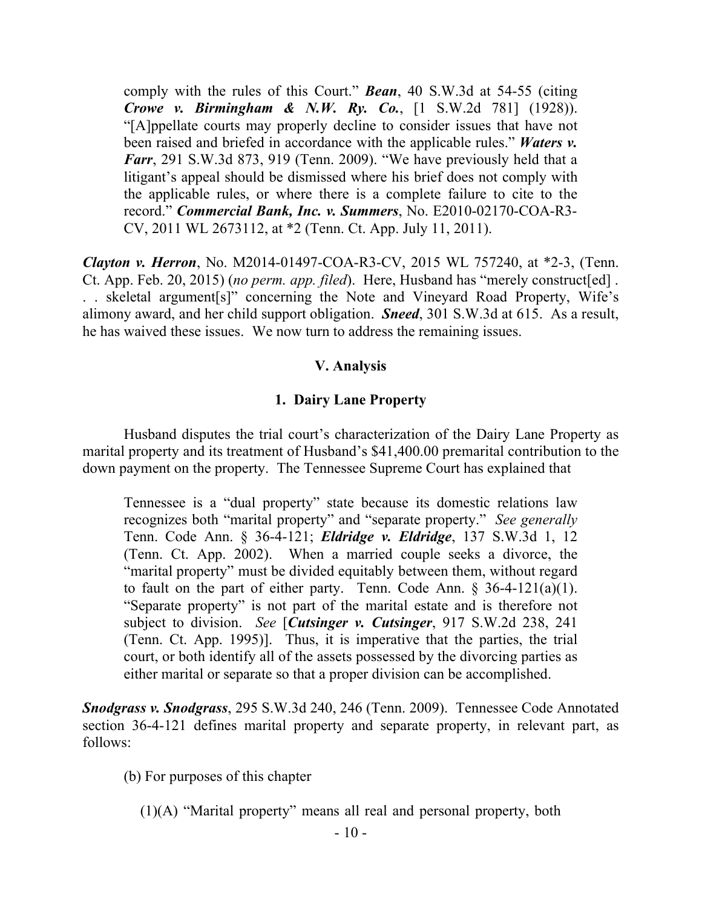comply with the rules of this Court." *Bean*, 40 S.W.3d at 54-55 (citing *Crowe v. Birmingham & N.W. Ry. Co.*, [1 S.W.2d 781] (1928)). "[A]ppellate courts may properly decline to consider issues that have not been raised and briefed in accordance with the applicable rules." *Waters v. Farr*, 291 S.W.3d 873, 919 (Tenn. 2009). "We have previously held that a litigant's appeal should be dismissed where his brief does not comply with the applicable rules, or where there is a complete failure to cite to the record." *Commercial Bank, Inc. v. Summers*, No. E2010-02170-COA-R3- CV, 2011 WL 2673112, at \*2 (Tenn. Ct. App. July 11, 2011).

*Clayton v. Herron*, No. M2014-01497-COA-R3-CV, 2015 WL 757240, at \*2-3, (Tenn. Ct. App. Feb. 20, 2015) (*no perm. app. filed*). Here, Husband has "merely construct[ed] . . . skeletal argument[s]" concerning the Note and Vineyard Road Property, Wife's alimony award, and her child support obligation. *Sneed*, 301 S.W.3d at 615. As a result, he has waived these issues. We now turn to address the remaining issues.

#### **V. Analysis**

#### **1. Dairy Lane Property**

Husband disputes the trial court's characterization of the Dairy Lane Property as marital property and its treatment of Husband's \$41,400.00 premarital contribution to the down payment on the property. The Tennessee Supreme Court has explained that

Tennessee is a "dual property" state because its domestic relations law recognizes both "marital property" and "separate property." *See generally* Tenn. Code Ann. § 36-4-121; *Eldridge v. Eldridge*, 137 S.W.3d 1, 12 (Tenn. Ct. App. 2002). When a married couple seeks a divorce, the "marital property" must be divided equitably between them, without regard to fault on the part of either party. Tenn. Code Ann.  $\S$  36-4-121(a)(1). "Separate property" is not part of the marital estate and is therefore not subject to division. *See* [*Cutsinger v. Cutsinger*, 917 S.W.2d 238, 241 (Tenn. Ct. App. 1995)]. Thus, it is imperative that the parties, the trial court, or both identify all of the assets possessed by the divorcing parties as either marital or separate so that a proper division can be accomplished.

*Snodgrass v. Snodgrass*, 295 S.W.3d 240, 246 (Tenn. 2009). Tennessee Code Annotated section 36-4-121 defines marital property and separate property, in relevant part, as follows:

(b) For purposes of this chapter

(1)(A) "Marital property" means all real and personal property, both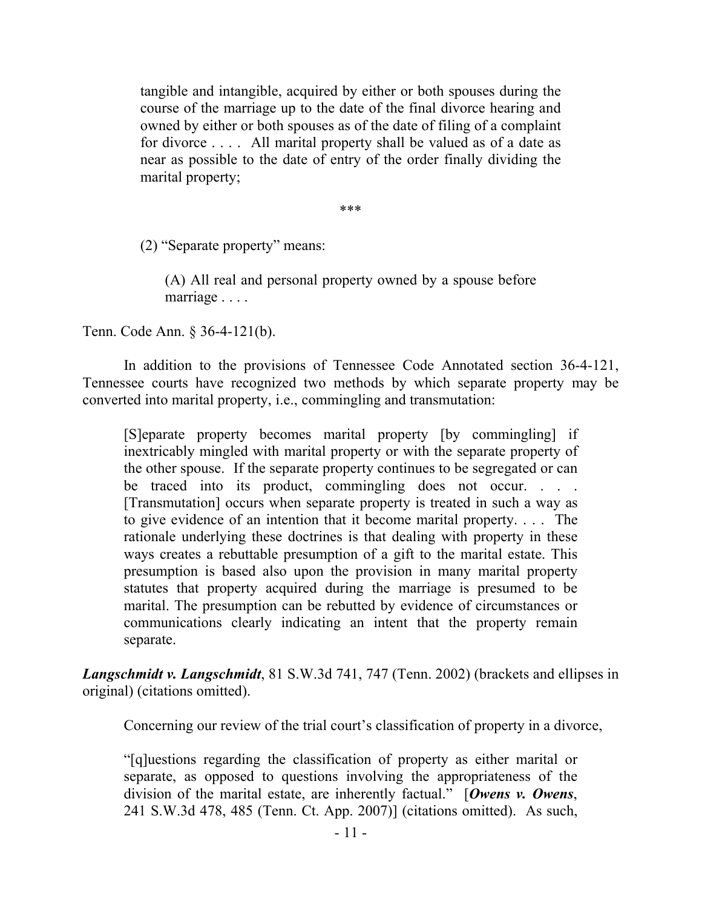tangible and intangible, acquired by either or both spouses during the course of the marriage up to the date of the final divorce hearing and owned by either or both spouses as of the date of filing of a complaint for divorce . . . . All marital property shall be valued as of a date as near as possible to the date of entry of the order finally dividing the marital property;

\*\*\*

(2) "Separate property" means:

(A) All real and personal property owned by a spouse before marriage . . . .

Tenn. Code Ann. § 36-4-121(b).

In addition to the provisions of Tennessee Code Annotated section 36-4-121, Tennessee courts have recognized two methods by which separate property may be converted into marital property, i.e., commingling and transmutation:

[S]eparate property becomes marital property [by commingling] if inextricably mingled with marital property or with the separate property of the other spouse. If the separate property continues to be segregated or can be traced into its product, commingling does not occur. . . . [Transmutation] occurs when separate property is treated in such a way as to give evidence of an intention that it become marital property. . . . The rationale underlying these doctrines is that dealing with property in these ways creates a rebuttable presumption of a gift to the marital estate. This presumption is based also upon the provision in many marital property statutes that property acquired during the marriage is presumed to be marital. The presumption can be rebutted by evidence of circumstances or communications clearly indicating an intent that the property remain separate.

*Langschmidt v. Langschmidt*, 81 S.W.3d 741, 747 (Tenn. 2002) (brackets and ellipses in original) (citations omitted).

Concerning our review of the trial court's classification of property in a divorce,

"[q]uestions regarding the classification of property as either marital or separate, as opposed to questions involving the appropriateness of the division of the marital estate, are inherently factual." [*Owens v. Owens*, 241 S.W.3d 478, 485 (Tenn. Ct. App. 2007)] (citations omitted). As such,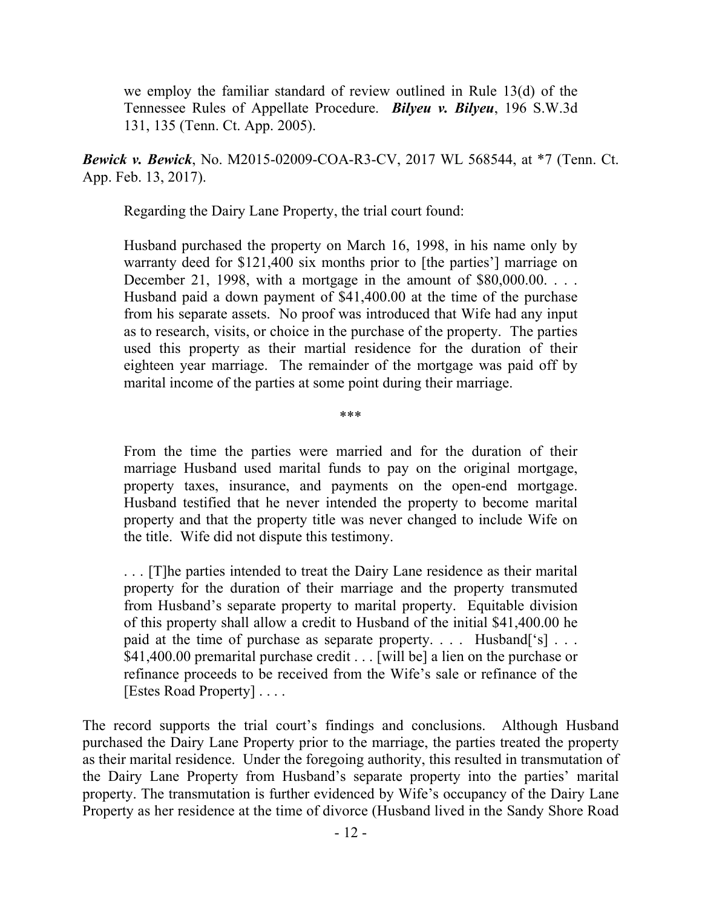we employ the familiar standard of review outlined in Rule 13(d) of the Tennessee Rules of Appellate Procedure. *Bilyeu v. Bilyeu*, 196 S.W.3d 131, 135 (Tenn. Ct. App. 2005).

*Bewick v. Bewick*, No. M2015-02009-COA-R3-CV, 2017 WL 568544, at \*7 (Tenn. Ct. App. Feb. 13, 2017).

Regarding the Dairy Lane Property, the trial court found:

Husband purchased the property on March 16, 1998, in his name only by warranty deed for \$121,400 six months prior to [the parties'] marriage on December 21, 1998, with a mortgage in the amount of  $$80,000.00$ .... Husband paid a down payment of \$41,400.00 at the time of the purchase from his separate assets. No proof was introduced that Wife had any input as to research, visits, or choice in the purchase of the property. The parties used this property as their martial residence for the duration of their eighteen year marriage. The remainder of the mortgage was paid off by marital income of the parties at some point during their marriage.

\*\*\*

From the time the parties were married and for the duration of their marriage Husband used marital funds to pay on the original mortgage, property taxes, insurance, and payments on the open-end mortgage. Husband testified that he never intended the property to become marital property and that the property title was never changed to include Wife on the title. Wife did not dispute this testimony.

. . . [T]he parties intended to treat the Dairy Lane residence as their marital property for the duration of their marriage and the property transmuted from Husband's separate property to marital property. Equitable division of this property shall allow a credit to Husband of the initial \$41,400.00 he paid at the time of purchase as separate property. . . . Husband ['s] . . . \$41,400.00 premarital purchase credit . . . [will be] a lien on the purchase or refinance proceeds to be received from the Wife's sale or refinance of the [Estes Road Property] . . . .

The record supports the trial court's findings and conclusions. Although Husband purchased the Dairy Lane Property prior to the marriage, the parties treated the property as their marital residence. Under the foregoing authority, this resulted in transmutation of the Dairy Lane Property from Husband's separate property into the parties' marital property. The transmutation is further evidenced by Wife's occupancy of the Dairy Lane Property as her residence at the time of divorce (Husband lived in the Sandy Shore Road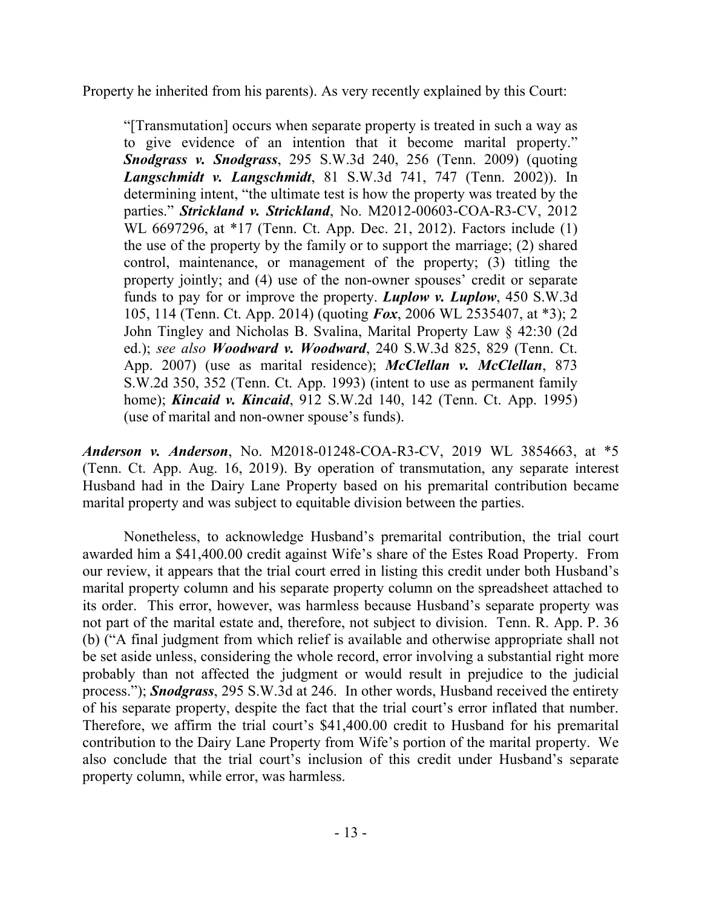Property he inherited from his parents). As very recently explained by this Court:

"[Transmutation] occurs when separate property is treated in such a way as to give evidence of an intention that it become marital property." *Snodgrass v. Snodgrass*, 295 S.W.3d 240, 256 (Tenn. 2009) (quoting *Langschmidt v. Langschmidt*, 81 S.W.3d 741, 747 (Tenn. 2002)). In determining intent, "the ultimate test is how the property was treated by the parties." *Strickland v. Strickland*, No. M2012-00603-COA-R3-CV, 2012 WL 6697296, at \*17 (Tenn. Ct. App. Dec. 21, 2012). Factors include (1) the use of the property by the family or to support the marriage; (2) shared control, maintenance, or management of the property; (3) titling the property jointly; and (4) use of the non-owner spouses' credit or separate funds to pay for or improve the property. *Luplow v. Luplow*, 450 S.W.3d 105, 114 (Tenn. Ct. App. 2014) (quoting *Fox*, 2006 WL 2535407, at \*3); 2 John Tingley and Nicholas B. Svalina, Marital Property Law § 42:30 (2d ed.); *see also Woodward v. Woodward*, 240 S.W.3d 825, 829 (Tenn. Ct. App. 2007) (use as marital residence); *McClellan v. McClellan*, 873 S.W.2d 350, 352 (Tenn. Ct. App. 1993) (intent to use as permanent family home); *Kincaid v. Kincaid*, 912 S.W.2d 140, 142 (Tenn. Ct. App. 1995) (use of marital and non-owner spouse's funds).

*Anderson v. Anderson*, No. M2018-01248-COA-R3-CV, 2019 WL 3854663, at \*5 (Tenn. Ct. App. Aug. 16, 2019). By operation of transmutation, any separate interest Husband had in the Dairy Lane Property based on his premarital contribution became marital property and was subject to equitable division between the parties.

Nonetheless, to acknowledge Husband's premarital contribution, the trial court awarded him a \$41,400.00 credit against Wife's share of the Estes Road Property. From our review, it appears that the trial court erred in listing this credit under both Husband's marital property column and his separate property column on the spreadsheet attached to its order. This error, however, was harmless because Husband's separate property was not part of the marital estate and, therefore, not subject to division. Tenn. R. App. P. 36 (b) ("A final judgment from which relief is available and otherwise appropriate shall not be set aside unless, considering the whole record, error involving a substantial right more probably than not affected the judgment or would result in prejudice to the judicial process."); *Snodgrass*, 295 S.W.3d at 246. In other words, Husband received the entirety of his separate property, despite the fact that the trial court's error inflated that number. Therefore, we affirm the trial court's \$41,400.00 credit to Husband for his premarital contribution to the Dairy Lane Property from Wife's portion of the marital property. We also conclude that the trial court's inclusion of this credit under Husband's separate property column, while error, was harmless.